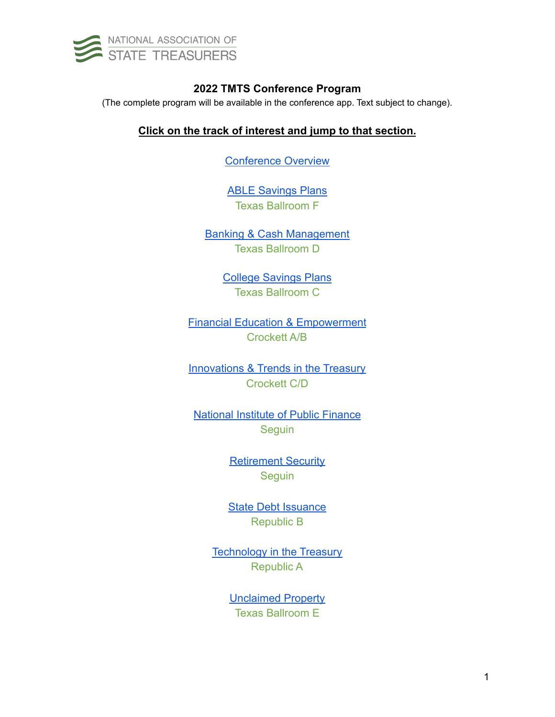

## **2022 TMTS Conference Program**

<span id="page-0-0"></span>(The complete program will be available in the conference app. Text subject to change).

## **Click on the track of interest and jump to that section.**

[Conference Overview](#page-1-0)

[ABLE Savings Plans](#page-3-0) Texas Ballroom F

[Banking & Cash Management](#page-6-0) Texas Ballroom D

> [College Savings Plans](#page-9-0) Texas Ballroom C

[Financial Education & Empowerment](#page-12-0) Crockett A/B

[Innovations & Trends in the Treasury](#page-15-0) Crockett C/D

[National Institute of Public Finance](#page-18-0) **Seguin** 

> [Retirement Security](#page-19-0) **Seguin**

**[State Debt Issuance](#page-20-0)** Republic B

**[Technology](#page-22-0) in the Treasury** Republic A

> [Unclaimed Property](#page-24-0) Texas Ballroom E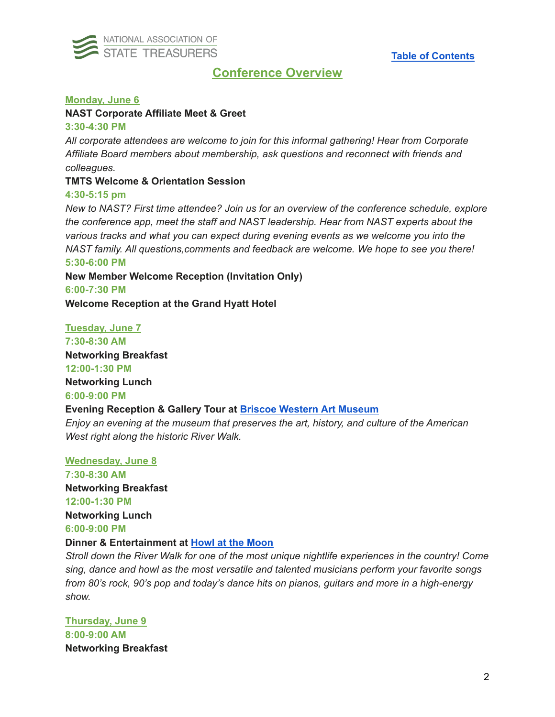

# **Conference Overview**

## <span id="page-1-0"></span>**Monday, June 6**

### **NAST Corporate Affiliate Meet & Greet**

#### **3:30-4:30 PM**

*All corporate attendees are welcome to join for this informal gathering! Hear from Corporate Affiliate Board members about membership, ask questions and reconnect with friends and colleagues.*

### **TMTS Welcome & Orientation Session**

#### **4:30-5:15 pm**

*New to NAST? First time attendee? Join us for an overview of the conference schedule, explore the conference app, meet the staff and NAST leadership. Hear from NAST experts about the various tracks and what you can expect during evening events as we welcome you into the NAST family. All questions,comments and feedback are welcome. We hope to see you there!* **5:30-6:00 PM**

**New Member Welcome Reception (Invitation Only)**

**6:00-7:30 PM**

**Welcome Reception at the Grand Hyatt Hotel**

**Tuesday, June 7 7:30-8:30 AM Networking Breakfast 12:00-1:30 PM Networking Lunch 6:00-9:00 PM Evening Reception & Gallery Tour at Briscoe Western Art [Museum](https://www.briscoemuseum.org/)** *Enjoy an evening at the museum that preserves the art, history, and culture of the American*

*West right along the historic River Walk.*

**Wednesday, June 8 7:30-8:30 AM Networking Breakfast 12:00-1:30 PM Networking Lunch 6:00-9:00 PM**

## **Dinner & Entertainment at Howl at the [Moon](https://www.howlatthemoon.com/san-antonio/)**

*Stroll down the River Walk for one of the most unique nightlife experiences in the country! Come sing, dance and howl as the most versatile and talented musicians perform your favorite songs from 80's rock, 90's pop and today's dance hits on pianos, guitars and more in a high-energy show.*

**Thursday, June 9 8:00-9:00 AM Networking Breakfast**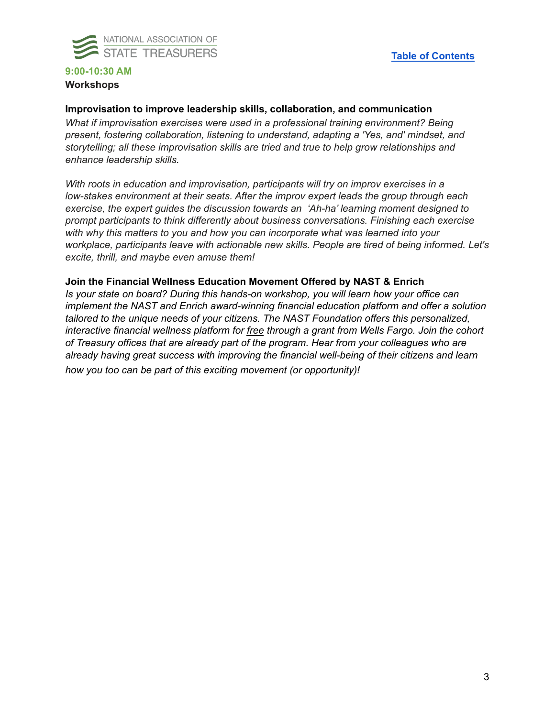

## **9:00-10:30 AM Workshops**

#### **Improvisation to improve leadership skills, collaboration, and communication**

*What if improvisation exercises were used in a professional training environment? Being present, fostering collaboration, listening to understand, adapting a 'Yes, and' mindset, and storytelling; all these improvisation skills are tried and true to help grow relationships and enhance leadership skills.*

*With roots in education and improvisation, participants will try on improv exercises in a low-stakes environment at their seats. After the improv expert leads the group through each exercise, the expert guides the discussion towards an 'Ah-ha' learning moment designed to prompt participants to think differently about business conversations. Finishing each exercise with why this matters to you and how you can incorporate what was learned into your workplace, participants leave with actionable new skills. People are tired of being informed. Let's excite, thrill, and maybe even amuse them!*

#### **Join the Financial Wellness Education Movement Offered by NAST & Enrich**

*Is your state on board? During this hands-on workshop, you will learn how your office can implement the NAST and Enrich award-winning financial education platform and offer a solution tailored to the unique needs of your citizens. The NAST Foundation offers this personalized, interactive financial wellness platform for free through a grant from Wells Fargo. Join the cohort of Treasury offices that are already part of the program. Hear from your colleagues who are already having great success with improving the financial well-being of their citizens and learn how you too can be part of this exciting movement (or opportunity)!*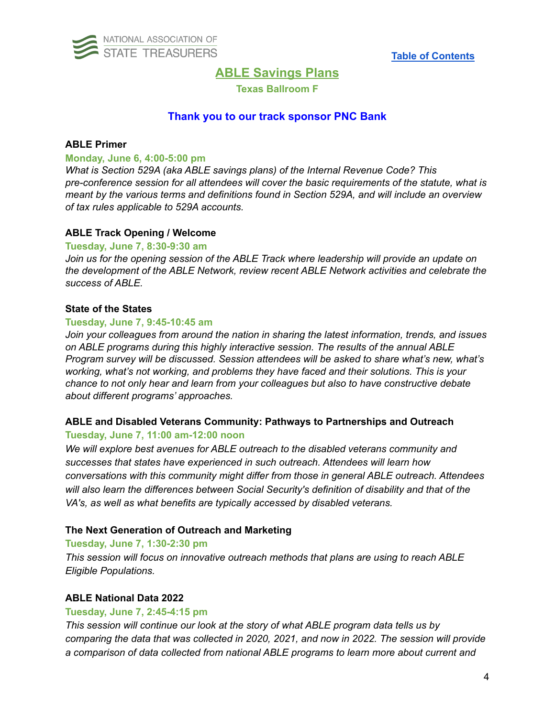<span id="page-3-0"></span>

## **ABLE Savings Plans**

**Texas Ballroom F**

## **Thank you to our track sponsor PNC Bank**

### **ABLE Primer**

#### **Monday, June 6, 4:00-5:00 pm**

*What is Section 529A (aka ABLE savings plans) of the Internal Revenue Code? This pre-conference session for all attendees will cover the basic requirements of the statute, what is meant by the various terms and definitions found in Section 529A, and will include an overview of tax rules applicable to 529A accounts.*

#### **ABLE Track Opening / Welcome**

#### **Tuesday, June 7, 8:30-9:30 am**

*Join us for the opening session of the ABLE Track where leadership will provide an update on the development of the ABLE Network, review recent ABLE Network activities and celebrate the success of ABLE.*

### **State of the States**

#### **Tuesday, June 7, 9:45-10:45 am**

*Join your colleagues from around the nation in sharing the latest information, trends, and issues on ABLE programs during this highly interactive session. The results of the annual ABLE Program survey will be discussed. Session attendees will be asked to share what's new, what's working, what's not working, and problems they have faced and their solutions. This is your chance to not only hear and learn from your colleagues but also to have constructive debate about different programs' approaches.*

### **ABLE and Disabled Veterans Community: Pathways to Partnerships and Outreach Tuesday, June 7, 11:00 am-12:00 noon**

*We will explore best avenues for ABLE outreach to the disabled veterans community and successes that states have experienced in such outreach. Attendees will learn how conversations with this community might differ from those in general ABLE outreach. Attendees will also learn the differences between Social Security's definition of disability and that of the VA's, as well as what benefits are typically accessed by disabled veterans.*

## **The Next Generation of Outreach and Marketing**

#### **Tuesday, June 7, 1:30-2:30 pm**

*This session will focus on innovative outreach methods that plans are using to reach ABLE Eligible Populations.*

#### **ABLE National Data 2022**

#### **Tuesday, June 7, 2:45-4:15 pm**

*This session will continue our look at the story of what ABLE program data tells us by comparing the data that was collected in 2020, 2021, and now in 2022. The session will provide a comparison of data collected from national ABLE programs to learn more about current and*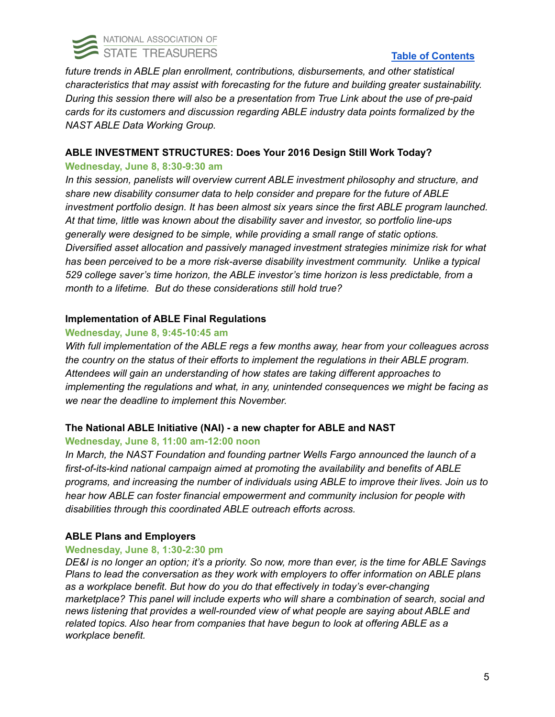

## **Table of [Contents](#page-0-0)**

*future trends in ABLE plan enrollment, contributions, disbursements, and other statistical characteristics that may assist with forecasting for the future and building greater sustainability. During this session there will also be a presentation from True Link about the use of pre-paid cards for its customers and discussion regarding ABLE industry data points formalized by the NAST ABLE Data Working Group.*

## **ABLE INVESTMENT STRUCTURES: Does Your 2016 Design Still Work Today?**

## **Wednesday, June 8, 8:30-9:30 am**

*In this session, panelists will overview current ABLE investment philosophy and structure, and share new disability consumer data to help consider and prepare for the future of ABLE investment portfolio design. It has been almost six years since the first ABLE program launched. At that time, little was known about the disability saver and investor, so portfolio line-ups generally were designed to be simple, while providing a small range of static options. Diversified asset allocation and passively managed investment strategies minimize risk for what has been perceived to be a more risk-averse disability investment community. Unlike a typical 529 college saver's time horizon, the ABLE investor's time horizon is less predictable, from a month to a lifetime. But do these considerations still hold true?*

## **Implementation of ABLE Final Regulations**

## **Wednesday, June 8, 9:45-10:45 am**

*With full implementation of the ABLE regs a few months away, hear from your colleagues across the country on the status of their efforts to implement the regulations in their ABLE program. Attendees will gain an understanding of how states are taking different approaches to implementing the regulations and what, in any, unintended consequences we might be facing as we near the deadline to implement this November.*

## **The National ABLE Initiative (NAI) - a new chapter for ABLE and NAST**

## **Wednesday, June 8, 11:00 am-12:00 noon**

*In March, the NAST Foundation and founding partner Wells Fargo announced the launch of a first-of-its-kind national campaign aimed at promoting the availability and benefits of ABLE programs, and increasing the number of individuals using ABLE to improve their lives. Join us to hear how ABLE can foster financial empowerment and community inclusion for people with disabilities through this coordinated ABLE outreach efforts across.*

## **ABLE Plans and Employers**

## **Wednesday, June 8, 1:30-2:30 pm**

DE&I is no longer an option; it's a priority. So now, more than ever, is the time for ABLE Savings *Plans to lead the conversation as they work with employers to offer information on ABLE plans as a workplace benefit. But how do you do that effectively in today's ever-changing marketplace? This panel will include experts who will share a combination of search, social and news listening that provides a well-rounded view of what people are saying about ABLE and related topics. Also hear from companies that have begun to look at offering ABLE as a workplace benefit.*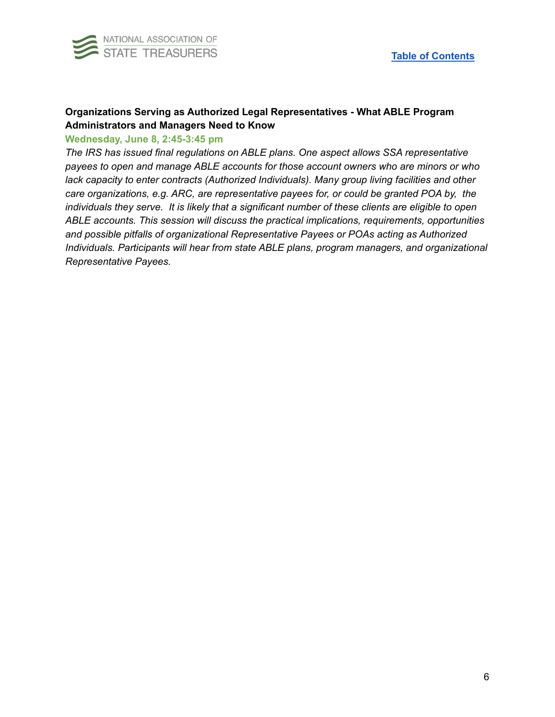

## **Organizations Serving as Authorized Legal Representatives - What ABLE Program Administrators and Managers Need to Know**

#### **Wednesday, June 8, 2:45-3:45 pm**

*The IRS has issued final regulations on ABLE plans. One aspect allows SSA representative payees to open and manage ABLE accounts for those account owners who are minors or who lack capacity to enter contracts (Authorized Individuals). Many group living facilities and other care organizations, e.g. ARC, are representative payees for, or could be granted POA by, the individuals they serve. It is likely that a significant number of these clients are eligible to open ABLE accounts. This session will discuss the practical implications, requirements, opportunities and possible pitfalls of organizational Representative Payees or POAs acting as Authorized Individuals. Participants will hear from state ABLE plans, program managers, and organizational Representative Payees.*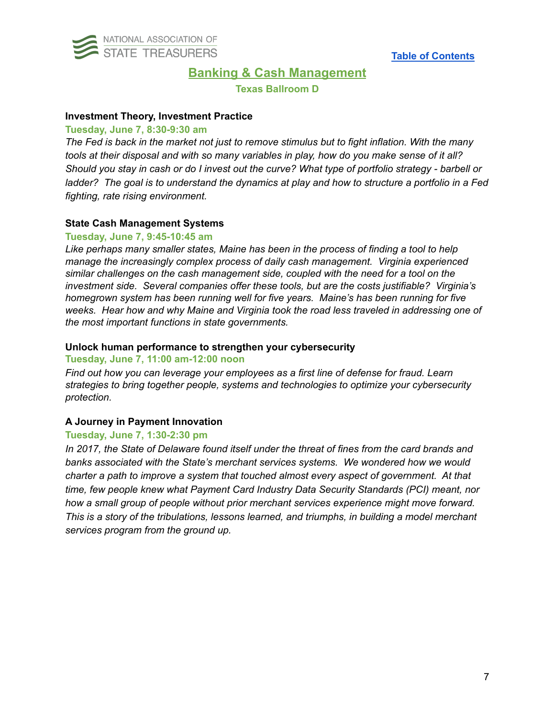<span id="page-6-0"></span>

## **Banking & Cash Management**

**Texas Ballroom D**

#### **Investment Theory, Investment Practice**

#### **Tuesday, June 7, 8:30-9:30 am**

The Fed is back in the market not just to remove stimulus but to fight inflation. With the many tools at their disposal and with so many variables in play, how do you make sense of it all? Should you stay in cash or do I invest out the curve? What type of portfolio strategy - barbell or ladder? The goal is to understand the dynamics at play and how to structure a portfolio in a Fed *fighting, rate rising environment.*

### **State Cash Management Systems**

#### **Tuesday, June 7, 9:45-10:45 am**

*Like perhaps many smaller states, Maine has been in the process of finding a tool to help manage the increasingly complex process of daily cash management. Virginia experienced similar challenges on the cash management side, coupled with the need for a tool on the investment side. Several companies offer these tools, but are the costs justifiable? Virginia's homegrown system has been running well for five years. Maine's has been running for five weeks. Hear how and why Maine and Virginia took the road less traveled in addressing one of the most important functions in state governments.*

### **Unlock human performance to strengthen your cybersecurity**

### **Tuesday, June 7, 11:00 am-12:00 noon**

*Find out how you can leverage your employees as a first line of defense for fraud. Learn strategies to bring together people, systems and technologies to optimize your cybersecurity protection.*

## **A Journey in Payment Innovation**

#### **Tuesday, June 7, 1:30-2:30 pm**

*In 2017, the State of Delaware found itself under the threat of fines from the card brands and banks associated with the State's merchant services systems. We wondered how we would charter a path to improve a system that touched almost every aspect of government. At that time, few people knew what Payment Card Industry Data Security Standards (PCI) meant, nor how a small group of people without prior merchant services experience might move forward. This is a story of the tribulations, lessons learned, and triumphs, in building a model merchant services program from the ground up.*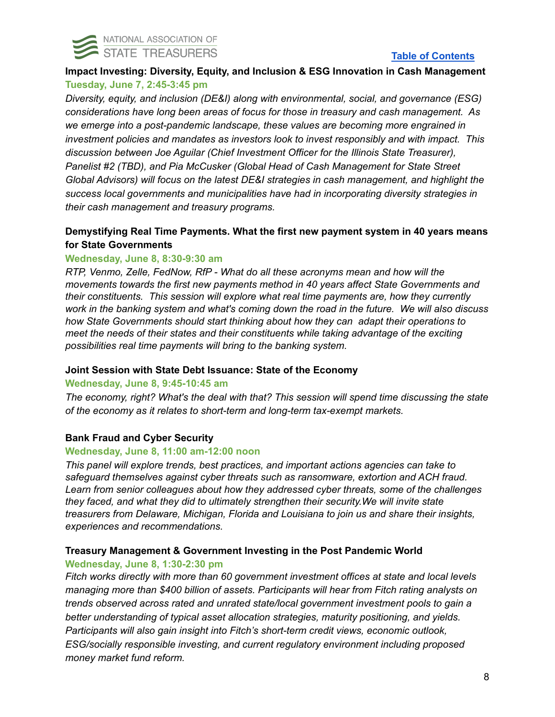

## **Table of [Contents](#page-0-0)**

## **Impact Investing: Diversity, Equity, and Inclusion & ESG Innovation in Cash Management Tuesday, June 7, 2:45-3:45 pm**

*Diversity, equity, and inclusion (DE&I) along with environmental, social, and governance (ESG) considerations have long been areas of focus for those in treasury and cash management. As we emerge into a post-pandemic landscape, these values are becoming more engrained in investment policies and mandates as investors look to invest responsibly and with impact. This discussion between Joe Aguilar (Chief Investment Officer for the Illinois State Treasurer), Panelist #2 (TBD), and Pia McCusker (Global Head of Cash Management for State Street Global Advisors) will focus on the latest DE&I strategies in cash management, and highlight the success local governments and municipalities have had in incorporating diversity strategies in their cash management and treasury programs.*

## **Demystifying Real Time Payments. What the first new payment system in 40 years means for State Governments**

## **Wednesday, June 8, 8:30-9:30 am**

*RTP, Venmo, Zelle, FedNow, RfP - What do all these acronyms mean and how will the movements towards the first new payments method in 40 years affect State Governments and their constituents. This session will explore what real time payments are, how they currently work in the banking system and what's coming down the road in the future. We will also discuss how State Governments should start thinking about how they can adapt their operations to meet the needs of their states and their constituents while taking advantage of the exciting possibilities real time payments will bring to the banking system.*

## **Joint Session with State Debt Issuance: State of the Economy**

## **Wednesday, June 8, 9:45-10:45 am**

*The economy, right? What's the deal with that? This session will spend time discussing the state of the economy as it relates to short-term and long-term tax-exempt markets.*

## **Bank Fraud and Cyber Security**

## **Wednesday, June 8, 11:00 am-12:00 noon**

*This panel will explore trends, best practices, and important actions agencies can take to safeguard themselves against cyber threats such as ransomware, extortion and ACH fraud. Learn from senior colleagues about how they addressed cyber threats, some of the challenges they faced, and what they did to ultimately strengthen their security.We will invite state treasurers from Delaware, Michigan, Florida and Louisiana to join us and share their insights, experiences and recommendations.*

## **Treasury Management & Government Investing in the Post Pandemic World**

## **Wednesday, June 8, 1:30-2:30 pm**

*Fitch works directly with more than 60 government investment offices at state and local levels managing more than \$400 billion of assets. Participants will hear from Fitch rating analysts on trends observed across rated and unrated state/local government investment pools to gain a better understanding of typical asset allocation strategies, maturity positioning, and yields. Participants will also gain insight into Fitch's short-term credit views, economic outlook, ESG/socially responsible investing, and current regulatory environment including proposed money market fund reform.*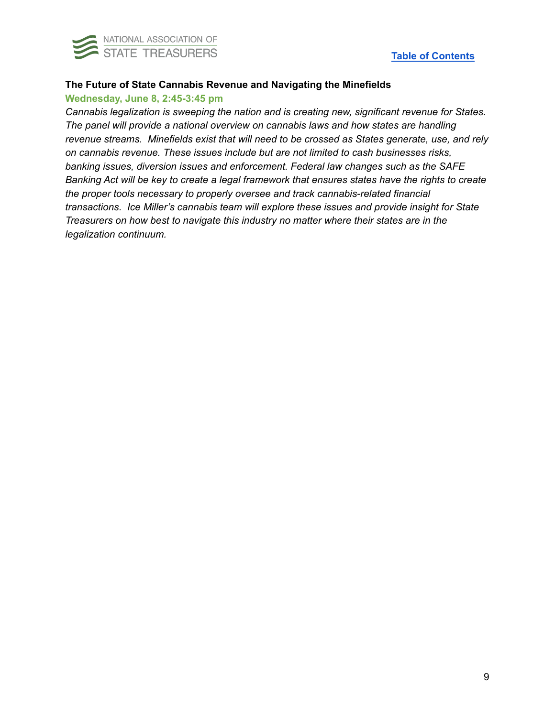

## **The Future of State Cannabis Revenue and Navigating the Minefields**

### **Wednesday, June 8, 2:45-3:45 pm**

*Cannabis legalization is sweeping the nation and is creating new, significant revenue for States. The panel will provide a national overview on cannabis laws and how states are handling revenue streams. Minefields exist that will need to be crossed as States generate, use, and rely on cannabis revenue. These issues include but are not limited to cash businesses risks, banking issues, diversion issues and enforcement. Federal law changes such as the SAFE Banking Act will be key to create a legal framework that ensures states have the rights to create the proper tools necessary to properly oversee and track cannabis-related financial transactions. Ice Miller's cannabis team will explore these issues and provide insight for State Treasurers on how best to navigate this industry no matter where their states are in the legalization continuum.*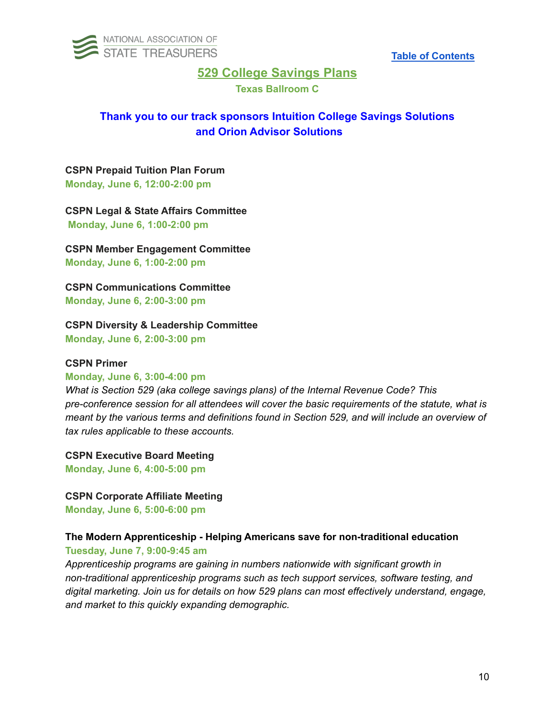<span id="page-9-0"></span>

## **529 College Savings Plans**

**Texas Ballroom C**

# **Thank you to our track sponsors Intuition College Savings Solutions and Orion Advisor Solutions**

### **CSPN Prepaid Tuition Plan Forum Monday, June 6, 12:00-2:00 pm**

**CSPN Legal & State Affairs Committee Monday, June 6, 1:00-2:00 pm**

**CSPN Member Engagement Committee Monday, June 6, 1:00-2:00 pm**

**CSPN Communications Committee Monday, June 6, 2:00-3:00 pm**

**CSPN Diversity & Leadership Committee**

**Monday, June 6, 2:00-3:00 pm**

### **CSPN Primer**

#### **Monday, June 6, 3:00-4:00 pm**

*What is Section 529 (aka college savings plans) of the Internal Revenue Code? This pre-conference session for all attendees will cover the basic requirements of the statute, what is meant by the various terms and definitions found in Section 529, and will include an overview of tax rules applicable to these accounts.*

**CSPN Executive Board Meeting Monday, June 6, 4:00-5:00 pm**

## **CSPN Corporate Affiliate Meeting**

**Monday, June 6, 5:00-6:00 pm**

# **The Modern Apprenticeship - Helping Americans save for non-traditional education**

**Tuesday, June 7, 9:00-9:45 am**

*Apprenticeship programs are gaining in numbers nationwide with significant growth in non-traditional apprenticeship programs such as tech support services, software testing, and digital marketing. Join us for details on how 529 plans can most effectively understand, engage, and market to this quickly expanding demographic.*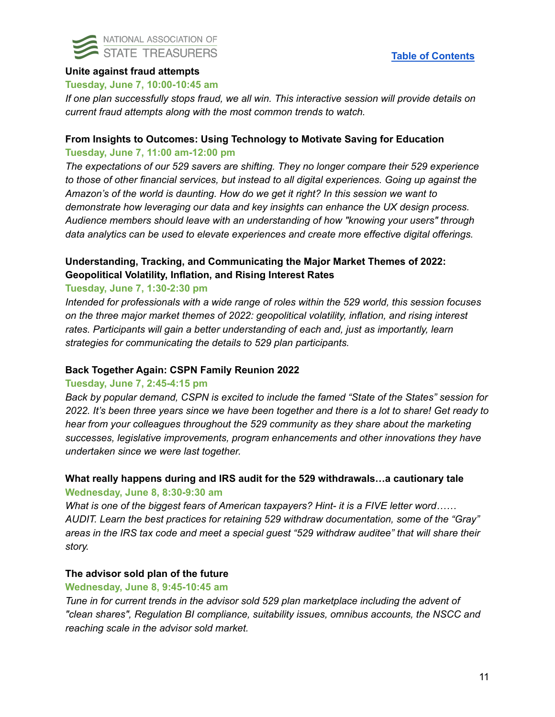

## **Unite against fraud attempts**

#### **Tuesday, June 7, 10:00-10:45 am**

*If one plan successfully stops fraud, we all win. This interactive session will provide details on current fraud attempts along with the most common trends to watch.*

## **From Insights to Outcomes: Using Technology to Motivate Saving for Education Tuesday, June 7, 11:00 am-12:00 pm**

*The expectations of our 529 savers are shifting. They no longer compare their 529 experience to those of other financial services, but instead to all digital experiences. Going up against the Amazon's of the world is daunting. How do we get it right? In this session we want to demonstrate how leveraging our data and key insights can enhance the UX design process. Audience members should leave with an understanding of how "knowing your users" through data analytics can be used to elevate experiences and create more effective digital offerings.*

## **Understanding, Tracking, and Communicating the Major Market Themes of 2022: Geopolitical Volatility, Inflation, and Rising Interest Rates**

### **Tuesday, June 7, 1:30-2:30 pm**

*Intended for professionals with a wide range of roles within the 529 world, this session focuses on the three major market themes of 2022: geopolitical volatility, inflation, and rising interest rates. Participants will gain a better understanding of each and, just as importantly, learn strategies for communicating the details to 529 plan participants.*

#### **Back Together Again: CSPN Family Reunion 2022**

#### **Tuesday, June 7, 2:45-4:15 pm**

*Back by popular demand, CSPN is excited to include the famed "State of the States" session for* 2022. It's been three years since we have been together and there is a lot to share! Get ready to *hear from your colleagues throughout the 529 community as they share about the marketing successes, legislative improvements, program enhancements and other innovations they have undertaken since we were last together.*

## **What really happens during and IRS audit for the 529 withdrawals…a cautionary tale Wednesday, June 8, 8:30-9:30 am**

*What is one of the biggest fears of American taxpayers? Hint- it is a FIVE letter word…… AUDIT. Learn the best practices for retaining 529 withdraw documentation, some of the "Gray" areas in the IRS tax code and meet a special guest "529 withdraw auditee" that will share their story.*

### **The advisor sold plan of the future**

#### **Wednesday, June 8, 9:45-10:45 am**

*Tune in for current trends in the advisor sold 529 plan marketplace including the advent of "clean shares", Regulation BI compliance, suitability issues, omnibus accounts, the NSCC and reaching scale in the advisor sold market.*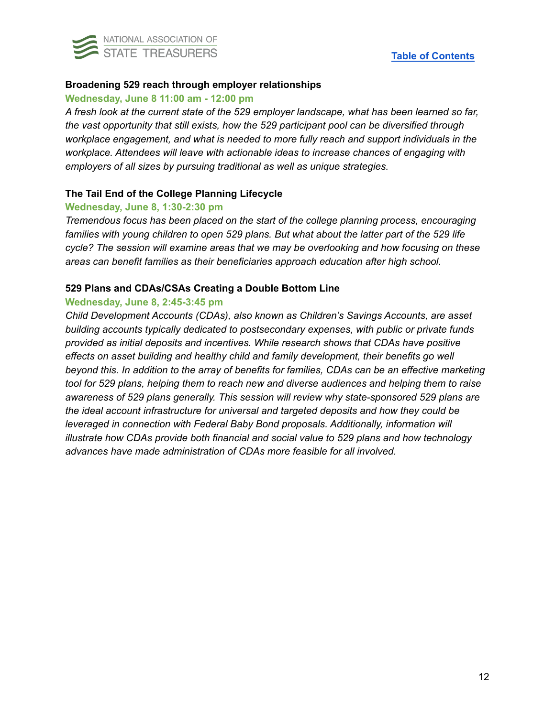

## **Broadening 529 reach through employer relationships**

#### **Wednesday, June 8 11:00 am - 12:00 pm**

*A fresh look at the current state of the 529 employer landscape, what has been learned so far, the vast opportunity that still exists, how the 529 participant pool can be diversified through workplace engagement, and what is needed to more fully reach and support individuals in the workplace. Attendees will leave with actionable ideas to increase chances of engaging with employers of all sizes by pursuing traditional as well as unique strategies.*

### **The Tail End of the College Planning Lifecycle**

#### **Wednesday, June 8, 1:30-2:30 pm**

*Tremendous focus has been placed on the start of the college planning process, encouraging families with young children to open 529 plans. But what about the latter part of the 529 life cycle? The session will examine areas that we may be overlooking and how focusing on these areas can benefit families as their beneficiaries approach education after high school.*

### **529 Plans and CDAs/CSAs Creating a Double Bottom Line**

## **Wednesday, June 8, 2:45-3:45 pm**

*Child Development Accounts (CDAs), also known as Children's Savings Accounts, are asset building accounts typically dedicated to postsecondary expenses, with public or private funds provided as initial deposits and incentives. While research shows that CDAs have positive effects on asset building and healthy child and family development, their benefits go well beyond this. In addition to the array of benefits for families, CDAs can be an effective marketing tool for 529 plans, helping them to reach new and diverse audiences and helping them to raise awareness of 529 plans generally. This session will review why state-sponsored 529 plans are the ideal account infrastructure for universal and targeted deposits and how they could be leveraged in connection with Federal Baby Bond proposals. Additionally, information will illustrate how CDAs provide both financial and social value to 529 plans and how technology advances have made administration of CDAs more feasible for all involved.*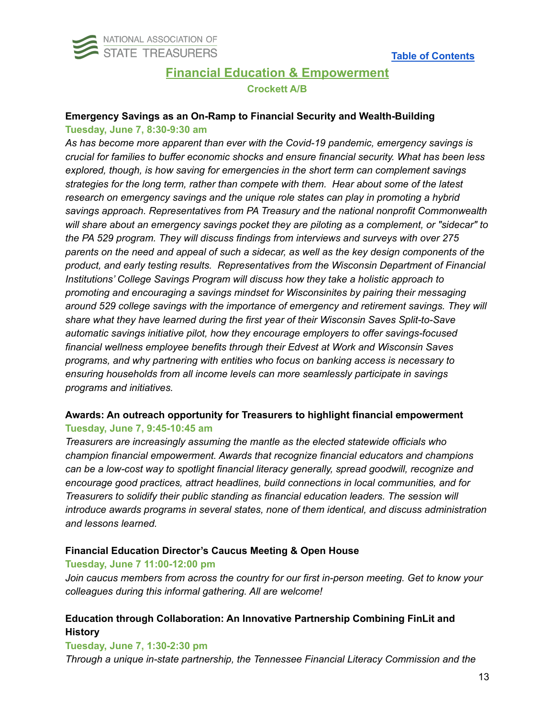<span id="page-12-0"></span>

# **Financial Education & Empowerment Crockett A/B**

# **Emergency Savings as an On-Ramp to Financial Security and Wealth-Building**

### **Tuesday, June 7, 8:30-9:30 am**

*As has become more apparent than ever with the Covid-19 pandemic, emergency savings is crucial for families to buffer economic shocks and ensure financial security. What has been less explored, though, is how saving for emergencies in the short term can complement savings strategies for the long term, rather than compete with them. Hear about some of the latest research on emergency savings and the unique role states can play in promoting a hybrid savings approach. Representatives from PA Treasury and the national nonprofit Commonwealth will share about an emergency savings pocket they are piloting as a complement, or "sidecar" to the PA 529 program. They will discuss findings from interviews and surveys with over 275* parents on the need and appeal of such a sidecar, as well as the key design components of the *product, and early testing results. Representatives from the Wisconsin Department of Financial Institutions' College Savings Program will discuss how they take a holistic approach to promoting and encouraging a savings mindset for Wisconsinites by pairing their messaging around 529 college savings with the importance of emergency and retirement savings. They will share what they have learned during the first year of their Wisconsin Saves Split-to-Save automatic savings initiative pilot, how they encourage employers to offer savings-focused financial wellness employee benefits through their Edvest at Work and Wisconsin Saves programs, and why partnering with entities who focus on banking access is necessary to ensuring households from all income levels can more seamlessly participate in savings programs and initiatives.*

## **Awards: An outreach opportunity for Treasurers to highlight financial empowerment Tuesday, June 7, 9:45-10:45 am**

*Treasurers are increasingly assuming the mantle as the elected statewide officials who champion financial empowerment. Awards that recognize financial educators and champions can be a low-cost way to spotlight financial literacy generally, spread goodwill, recognize and encourage good practices, attract headlines, build connections in local communities, and for Treasurers to solidify their public standing as financial education leaders. The session will introduce awards programs in several states, none of them identical, and discuss administration and lessons learned.*

## **Financial Education Director's Caucus Meeting & Open House**

## **Tuesday, June 7 11:00-12:00 pm**

*Join caucus members from across the country for our first in-person meeting. Get to know your colleagues during this informal gathering. All are welcome!*

## **Education through Collaboration: An Innovative Partnership Combining FinLit and History**

## **Tuesday, June 7, 1:30-2:30 pm**

*Through a unique in-state partnership, the Tennessee Financial Literacy Commission and the*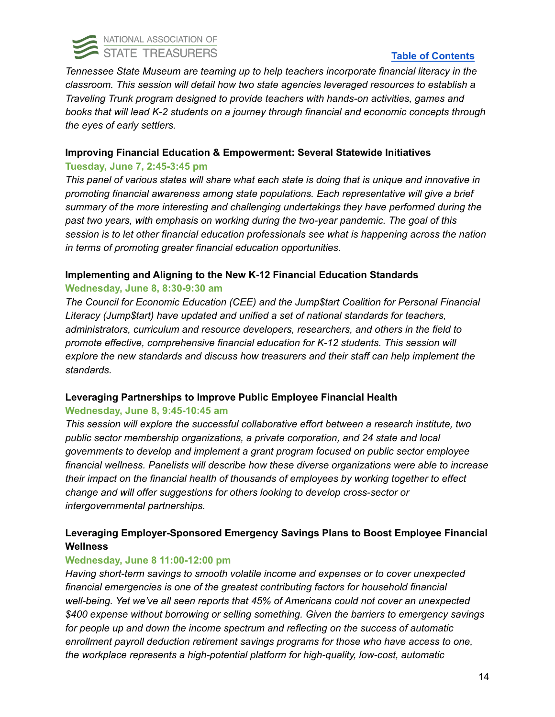

## **Table of [Contents](#page-0-0)**

*Tennessee State Museum are teaming up to help teachers incorporate financial literacy in the classroom. This session will detail how two state agencies leveraged resources to establish a Traveling Trunk program designed to provide teachers with hands-on activities, games and books that will lead K-2 students on a journey through financial and economic concepts through the eyes of early settlers.*

## **Improving Financial Education & Empowerment: Several Statewide Initiatives**

## **Tuesday, June 7, 2:45-3:45 pm**

*This panel of various states will share what each state is doing that is unique and innovative in promoting financial awareness among state populations. Each representative will give a brief summary of the more interesting and challenging undertakings they have performed during the past two years, with emphasis on working during the two-year pandemic. The goal of this session is to let other financial education professionals see what is happening across the nation in terms of promoting greater financial education opportunities.*

## **Implementing and Aligning to the New K-12 Financial Education Standards**

## **Wednesday, June 8, 8:30-9:30 am**

*The Council for Economic Education (CEE) and the Jump\$tart Coalition for Personal Financial Literacy (Jump\$tart) have updated and unified a set of national standards for teachers, administrators, curriculum and resource developers, researchers, and others in the field to promote effective, comprehensive financial education for K-12 students. This session will explore the new standards and discuss how treasurers and their staff can help implement the standards.*

## **Leveraging Partnerships to Improve Public Employee Financial Health**

## **Wednesday, June 8, 9:45-10:45 am**

*This session will explore the successful collaborative effort between a research institute, two public sector membership organizations, a private corporation, and 24 state and local governments to develop and implement a grant program focused on public sector employee financial wellness. Panelists will describe how these diverse organizations were able to increase their impact on the financial health of thousands of employees by working together to effect change and will offer suggestions for others looking to develop cross-sector or intergovernmental partnerships.*

## **Leveraging Employer-Sponsored Emergency Savings Plans to Boost Employee Financial Wellness**

## **Wednesday, June 8 11:00-12:00 pm**

*Having short-term savings to smooth volatile income and expenses or to cover unexpected financial emergencies is one of the greatest contributing factors for household financial well-being. Yet we've all seen reports that 45% of Americans could not cover an unexpected \$400 expense without borrowing or selling something. Given the barriers to emergency savings for people up and down the income spectrum and reflecting on the success of automatic enrollment payroll deduction retirement savings programs for those who have access to one, the workplace represents a high-potential platform for high-quality, low-cost, automatic*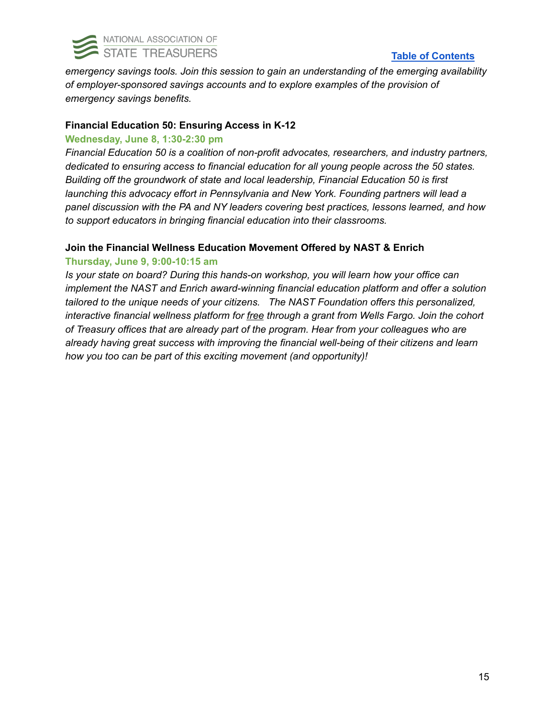

## **Table of [Contents](#page-0-0)**

*emergency savings tools. Join this session to gain an understanding of the emerging availability of employer-sponsored savings accounts and to explore examples of the provision of emergency savings benefits.*

## **Financial Education 50: Ensuring Access in K-12**

#### **Wednesday, June 8, 1:30-2:30 pm**

*Financial Education 50 is a coalition of non-profit advocates, researchers, and industry partners, dedicated to ensuring access to financial education for all young people across the 50 states. Building off the groundwork of state and local leadership, Financial Education 50 is first launching this advocacy effort in Pennsylvania and New York. Founding partners will lead a panel discussion with the PA and NY leaders covering best practices, lessons learned, and how to support educators in bringing financial education into their classrooms.*

### **Join the Financial Wellness Education Movement Offered by NAST & Enrich**

## **Thursday, June 9, 9:00-10:15 am**

*Is your state on board? During this hands-on workshop, you will learn how your office can implement the NAST and Enrich award-winning financial education platform and offer a solution tailored to the unique needs of your citizens. The NAST Foundation offers this personalized, interactive financial wellness platform for free through a grant from Wells Fargo. Join the cohort of Treasury offices that are already part of the program. Hear from your colleagues who are already having great success with improving the financial well-being of their citizens and learn how you too can be part of this exciting movement (and opportunity)!*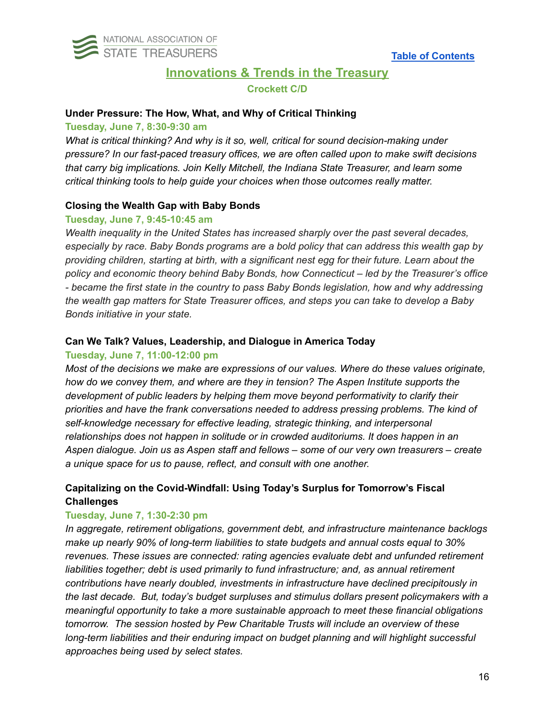<span id="page-15-0"></span>

# **Innovations & Trends in the Treasury Crockett C/D**

### **Under Pressure: The How, What, and Why of Critical Thinking**

#### **Tuesday, June 7, 8:30-9:30 am**

*What is critical thinking? And why is it so, well, critical for sound decision-making under pressure? In our fast-paced treasury offices, we are often called upon to make swift decisions that carry big implications. Join Kelly Mitchell, the Indiana State Treasurer, and learn some critical thinking tools to help guide your choices when those outcomes really matter.*

## **Closing the Wealth Gap with Baby Bonds**

## **Tuesday, June 7, 9:45-10:45 am**

*Wealth inequality in the United States has increased sharply over the past several decades, especially by race. Baby Bonds programs are a bold policy that can address this wealth gap by providing children, starting at birth, with a significant nest egg for their future. Learn about the policy and economic theory behind Baby Bonds, how Connecticut – led by the Treasurer's office - became the first state in the country to pass Baby Bonds legislation, how and why addressing the wealth gap matters for State Treasurer offices, and steps you can take to develop a Baby Bonds initiative in your state.*

## **Can We Talk? Values, Leadership, and Dialogue in America Today**

### **Tuesday, June 7, 11:00-12:00 pm**

*Most of the decisions we make are expressions of our values. Where do these values originate, how do we convey them, and where are they in tension? The Aspen Institute supports the development of public leaders by helping them move beyond performativity to clarify their priorities and have the frank conversations needed to address pressing problems. The kind of self-knowledge necessary for effective leading, strategic thinking, and interpersonal relationships does not happen in solitude or in crowded auditoriums. It does happen in an Aspen dialogue. Join us as Aspen staff and fellows – some of our very own treasurers – create a unique space for us to pause, reflect, and consult with one another.*

## **Capitalizing on the Covid-Windfall: Using Today's Surplus for Tomorrow's Fiscal Challenges**

## **Tuesday, June 7, 1:30-2:30 pm**

*In aggregate, retirement obligations, government debt, and infrastructure maintenance backlogs make up nearly 90% of long-term liabilities to state budgets and annual costs equal to 30% revenues. These issues are connected: rating agencies evaluate debt and unfunded retirement liabilities together; debt is used primarily to fund infrastructure; and, as annual retirement contributions have nearly doubled, investments in infrastructure have declined precipitously in the last decade. But, today's budget surpluses and stimulus dollars present policymakers with a meaningful opportunity to take a more sustainable approach to meet these financial obligations tomorrow. The session hosted by Pew Charitable Trusts will include an overview of these long-term liabilities and their enduring impact on budget planning and will highlight successful approaches being used by select states.*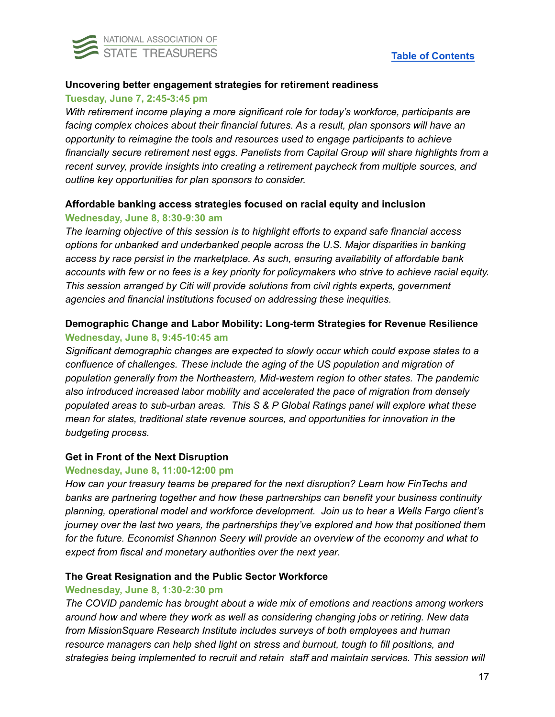

### **Uncovering better engagement strategies for retirement readiness**

### **Tuesday, June 7, 2:45-3:45 pm**

*With retirement income playing a more significant role for today's workforce, participants are facing complex choices about their financial futures. As a result, plan sponsors will have an opportunity to reimagine the tools and resources used to engage participants to achieve financially secure retirement nest eggs. Panelists from Capital Group will share highlights from a recent survey, provide insights into creating a retirement paycheck from multiple sources, and outline key opportunities for plan sponsors to consider.*

## **Affordable banking access strategies focused on racial equity and inclusion Wednesday, June 8, 8:30-9:30 am**

*The learning objective of this session is to highlight efforts to expand safe financial access options for unbanked and underbanked people across the U.S. Major disparities in banking access by race persist in the marketplace. As such, ensuring availability of affordable bank* accounts with few or no fees is a key priority for policymakers who strive to achieve racial equity. *This session arranged by Citi will provide solutions from civil rights experts, government agencies and financial institutions focused on addressing these inequities.*

## **Demographic Change and Labor Mobility: Long-term Strategies for Revenue Resilience Wednesday, June 8, 9:45-10:45 am**

*Significant demographic changes are expected to slowly occur which could expose states to a confluence of challenges. These include the aging of the US population and migration of population generally from the Northeastern, Mid-western region to other states. The pandemic also introduced increased labor mobility and accelerated the pace of migration from densely populated areas to sub-urban areas. This S & P Global Ratings panel will explore what these mean for states, traditional state revenue sources, and opportunities for innovation in the budgeting process.*

## **Get in Front of the Next Disruption**

#### **Wednesday, June 8, 11:00-12:00 pm**

*How can your treasury teams be prepared for the next disruption? Learn how FinTechs and banks are partnering together and how these partnerships can benefit your business continuity planning, operational model and workforce development. Join us to hear a Wells Fargo client's journey over the last two years, the partnerships they've explored and how that positioned them for the future. Economist Shannon Seery will provide an overview of the economy and what to expect from fiscal and monetary authorities over the next year.*

## **The Great Resignation and the Public Sector Workforce**

## **Wednesday, June 8, 1:30-2:30 pm**

*The COVID pandemic has brought about a wide mix of emotions and reactions among workers around how and where they work as well as considering changing jobs or retiring. New data from MissionSquare Research Institute includes surveys of both employees and human resource managers can help shed light on stress and burnout, tough to fill positions, and strategies being implemented to recruit and retain staff and maintain services. This session will*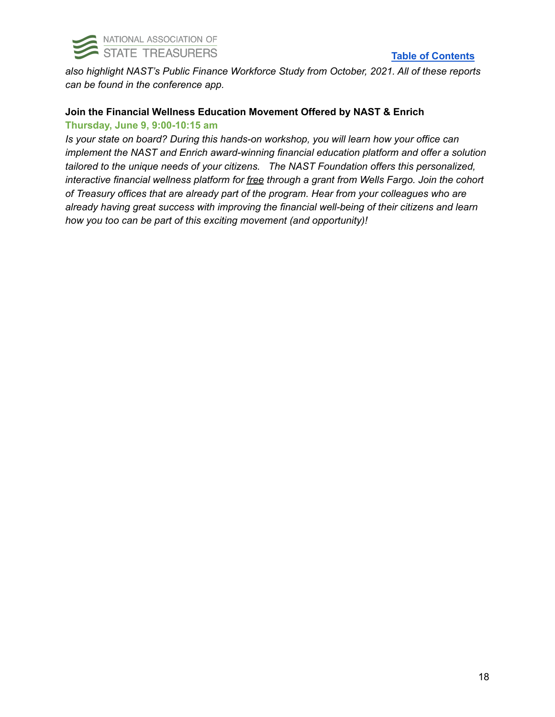

## **Table of [Contents](#page-0-0)**

*also highlight NAST's Public Finance Workforce Study from October, 2021. All of these reports can be found in the conference app.*

## **Join the Financial Wellness Education Movement Offered by NAST & Enrich Thursday, June 9, 9:00-10:15 am**

*Is your state on board? During this hands-on workshop, you will learn how your office can implement the NAST and Enrich award-winning financial education platform and offer a solution tailored to the unique needs of your citizens. The NAST Foundation offers this personalized, interactive financial wellness platform for free through a grant from Wells Fargo. Join the cohort of Treasury offices that are already part of the program. Hear from your colleagues who are already having great success with improving the financial well-being of their citizens and learn how you too can be part of this exciting movement (and opportunity)!*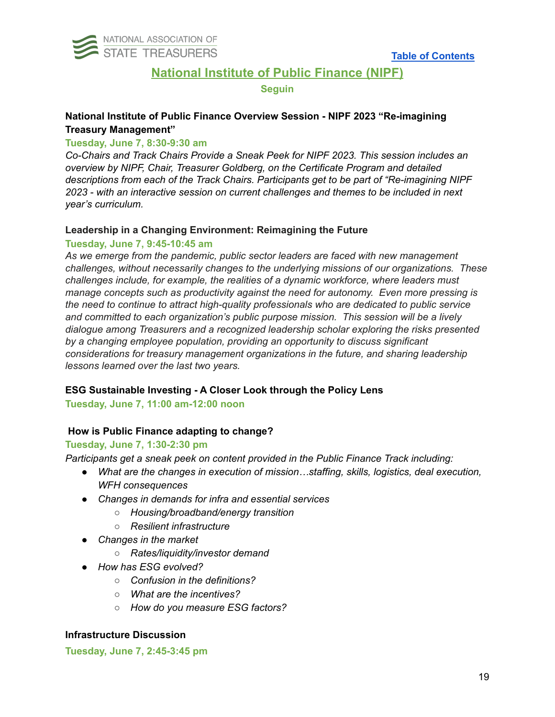<span id="page-18-0"></span>

## **National Institute of Public Finance (NIPF)**

#### **Seguin**

## **National Institute of Public Finance Overview Session - NIPF 2023 "Re-imagining Treasury Management"**

### **Tuesday, June 7, 8:30-9:30 am**

*Co-Chairs and Track Chairs Provide a Sneak Peek for NIPF 2023. This session includes an overview by NIPF, Chair, Treasurer Goldberg, on the Certificate Program and detailed descriptions from each of the Track Chairs. Participants get to be part of "Re-imagining NIPF 2023 - with an interactive session on current challenges and themes to be included in next year's curriculum.*

### **Leadership in a Changing Environment: Reimagining the Future**

#### **Tuesday, June 7, 9:45-10:45 am**

*As we emerge from the pandemic, public sector leaders are faced with new management challenges, without necessarily changes to the underlying missions of our organizations. These challenges include, for example, the realities of a dynamic workforce, where leaders must manage concepts such as productivity against the need for autonomy. Even more pressing is the need to continue to attract high-quality professionals who are dedicated to public service and committed to each organization's public purpose mission. This session will be a lively dialogue among Treasurers and a recognized leadership scholar exploring the risks presented by a changing employee population, providing an opportunity to discuss significant considerations for treasury management organizations in the future, and sharing leadership lessons learned over the last two years.*

## **ESG Sustainable Investing - A Closer Look through the Policy Lens**

**Tuesday, June 7, 11:00 am-12:00 noon**

## **How is Public Finance adapting to change?**

## **Tuesday, June 7, 1:30-2:30 pm**

*Participants get a sneak peek on content provided in the Public Finance Track including:*

- *● What are the changes in execution of mission…staffing, skills, logistics, deal execution, WFH consequences*
- *● Changes in demands for infra and essential services*
	- *○ Housing/broadband/energy transition*
	- *○ Resilient infrastructure*
- *● Changes in the market*
	- *○ Rates/liquidity/investor demand*
- *● How has ESG evolved?*
	- *○ Confusion in the definitions?*
	- *○ What are the incentives?*
	- *○ How do you measure ESG factors?*

## **Infrastructure Discussion**

**Tuesday, June 7, 2:45-3:45 pm**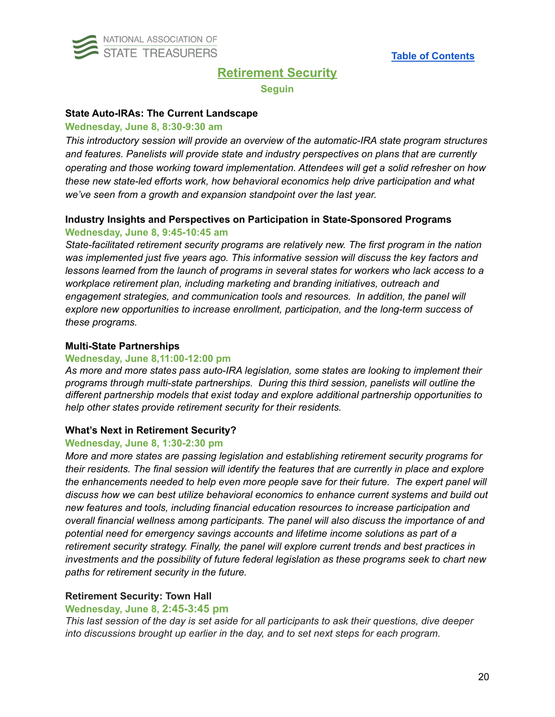<span id="page-19-0"></span>

# **Retirement Security**

**Seguin**

#### **State Auto-IRAs: The Current Landscape**

#### **Wednesday, June 8, 8:30-9:30 am**

*This introductory session will provide an overview of the automatic-IRA state program structures and features. Panelists will provide state and industry perspectives on plans that are currently operating and those working toward implementation. Attendees will get a solid refresher on how these new state-led efforts work, how behavioral economics help drive participation and what we've seen from a growth and expansion standpoint over the last year.*

## **Industry Insights and Perspectives on Participation in State-Sponsored Programs Wednesday, June 8, 9:45-10:45 am**

*State-facilitated retirement security programs are relatively new. The first program in the nation was implemented just five years ago. This informative session will discuss the key factors and lessons learned from the launch of programs in several states for workers who lack access to a workplace retirement plan, including marketing and branding initiatives, outreach and engagement strategies, and communication tools and resources. In addition, the panel will explore new opportunities to increase enrollment, participation, and the long-term success of these programs.*

#### **Multi-State Partnerships**

#### **Wednesday, June 8,11:00-12:00 pm**

*As more and more states pass auto-IRA legislation, some states are looking to implement their programs through multi-state partnerships. During this third session, panelists will outline the different partnership models that exist today and explore additional partnership opportunities to help other states provide retirement security for their residents.*

#### **What's Next in Retirement Security?**

#### **Wednesday, June 8, 1:30-2:30 pm**

*More and more states are passing legislation and establishing retirement security programs for their residents. The final session will identify the features that are currently in place and explore the enhancements needed to help even more people save for their future. The expert panel will discuss how we can best utilize behavioral economics to enhance current systems and build out new features and tools, including financial education resources to increase participation and overall financial wellness among participants. The panel will also discuss the importance of and potential need for emergency savings accounts and lifetime income solutions as part of a retirement security strategy. Finally, the panel will explore current trends and best practices in investments and the possibility of future federal legislation as these programs seek to chart new paths for retirement security in the future.*

#### **Retirement Security: Town Hall**

#### **Wednesday, June 8, 2:45-3:45 pm**

*This last session of the day is set aside for all participants to ask their questions, dive deeper into discussions brought up earlier in the day, and to set next steps for each program.*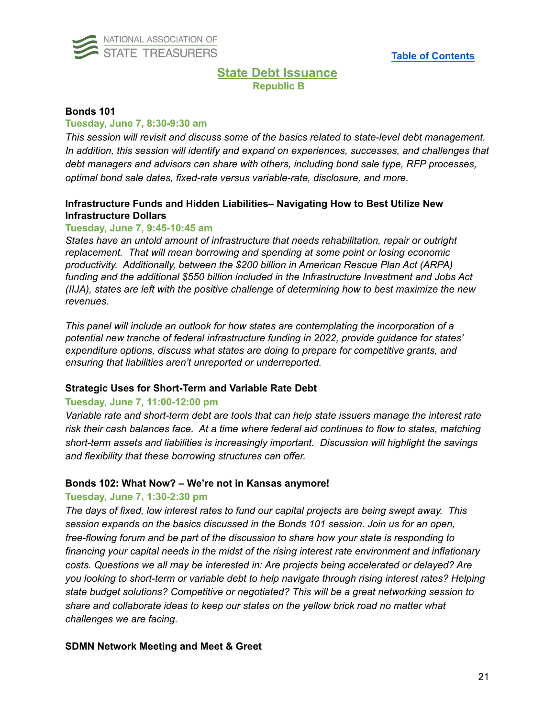<span id="page-20-0"></span>

## **State Debt Issuance Republic B**

#### **Bonds 101**

#### **Tuesday, June 7, 8:30-9:30 am**

*This session will revisit and discuss some of the basics related to state-level debt management. In addition, this session will identify and expand on experiences, successes, and challenges that debt managers and advisors can share with others, including bond sale type, RFP processes, optimal bond sale dates, fixed-rate versus variable-rate, disclosure, and more.*

## **Infrastructure Funds and Hidden Liabilities– Navigating How to Best Utilize New Infrastructure Dollars**

#### **Tuesday, June 7, 9:45-10:45 am**

*States have an untold amount of infrastructure that needs rehabilitation, repair or outright replacement. That will mean borrowing and spending at some point or losing economic productivity. Additionally, between the \$200 billion in American Rescue Plan Act (ARPA) funding and the additional \$550 billion included in the Infrastructure Investment and Jobs Act (IIJA), states are left with the positive challenge of determining how to best maximize the new revenues.*

*This panel will include an outlook for how states are contemplating the incorporation of a potential new tranche of federal infrastructure funding in 2022, provide guidance for states' expenditure options, discuss what states are doing to prepare for competitive grants, and ensuring that liabilities aren't unreported or underreported.*

#### **Strategic Uses for Short-Term and Variable Rate Debt**

## **Tuesday, June 7, 11:00-12:00 pm**

*Variable rate and short-term debt are tools that can help state issuers manage the interest rate risk their cash balances face. At a time where federal aid continues to flow to states, matching short-term assets and liabilities is increasingly important. Discussion will highlight the savings and flexibility that these borrowing structures can offer.*

#### **Bonds 102: What Now? – We're not in Kansas anymore!**

## **Tuesday, June 7, 1:30-2:30 pm**

*The days of fixed, low interest rates to fund our capital projects are being swept away. This session expands on the basics discussed in the Bonds 101 session. Join us for an open, free-flowing forum and be part of the discussion to share how your state is responding to financing your capital needs in the midst of the rising interest rate environment and inflationary costs. Questions we all may be interested in: Are projects being accelerated or delayed? Are you looking to short-term or variable debt to help navigate through rising interest rates? Helping state budget solutions? Competitive or negotiated? This will be a great networking session to share and collaborate ideas to keep our states on the yellow brick road no matter what challenges we are facing.*

#### **SDMN Network Meeting and Meet & Greet**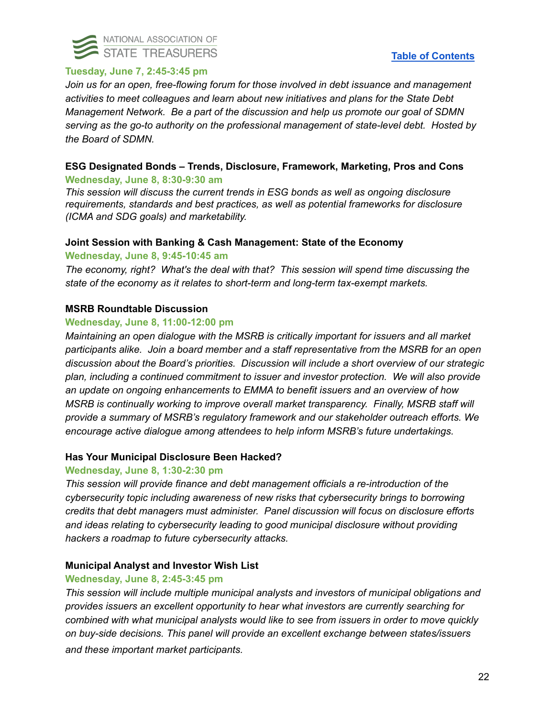

## **Tuesday, June 7, 2:45-3:45 pm**

*Join us for an open, free-flowing forum for those involved in debt issuance and management activities to meet colleagues and learn about new initiatives and plans for the State Debt Management Network. Be a part of the discussion and help us promote our goal of SDMN serving as the go-to authority on the professional management of state-level debt. Hosted by the Board of SDMN.*

## **ESG Designated Bonds – Trends, Disclosure, Framework, Marketing, Pros and Cons Wednesday, June 8, 8:30-9:30 am**

*This session will discuss the current trends in ESG bonds as well as ongoing disclosure requirements, standards and best practices, as well as potential frameworks for disclosure (ICMA and SDG goals) and marketability.*

## **Joint Session with Banking & Cash Management: State of the Economy**

### **Wednesday, June 8, 9:45-10:45 am**

*The economy, right? What's the deal with that? This session will spend time discussing the state of the economy as it relates to short-term and long-term tax-exempt markets.*

### **MSRB Roundtable Discussion**

#### **Wednesday, June 8, 11:00-12:00 pm**

*Maintaining an open dialogue with the MSRB is critically important for issuers and all market participants alike. Join a board member and a staff representative from the MSRB for an open discussion about the Board's priorities. Discussion will include a short overview of our strategic plan, including a continued commitment to issuer and investor protection. We will also provide an update on ongoing enhancements to EMMA to benefit issuers and an overview of how MSRB is continually working to improve overall market transparency. Finally, MSRB staff will provide a summary of MSRB's regulatory framework and our stakeholder outreach efforts. We encourage active dialogue among attendees to help inform MSRB's future undertakings.*

#### **Has Your Municipal Disclosure Been Hacked?**

#### **Wednesday, June 8, 1:30-2:30 pm**

*This session will provide finance and debt management officials a re-introduction of the cybersecurity topic including awareness of new risks that cybersecurity brings to borrowing credits that debt managers must administer. Panel discussion will focus on disclosure efforts and ideas relating to cybersecurity leading to good municipal disclosure without providing hackers a roadmap to future cybersecurity attacks.*

## **Municipal Analyst and Investor Wish List**

#### **Wednesday, June 8, 2:45-3:45 pm**

*This session will include multiple municipal analysts and investors of municipal obligations and provides issuers an excellent opportunity to hear what investors are currently searching for combined with what municipal analysts would like to see from issuers in order to move quickly on buy-side decisions. This panel will provide an excellent exchange between states/issuers and these important market participants.*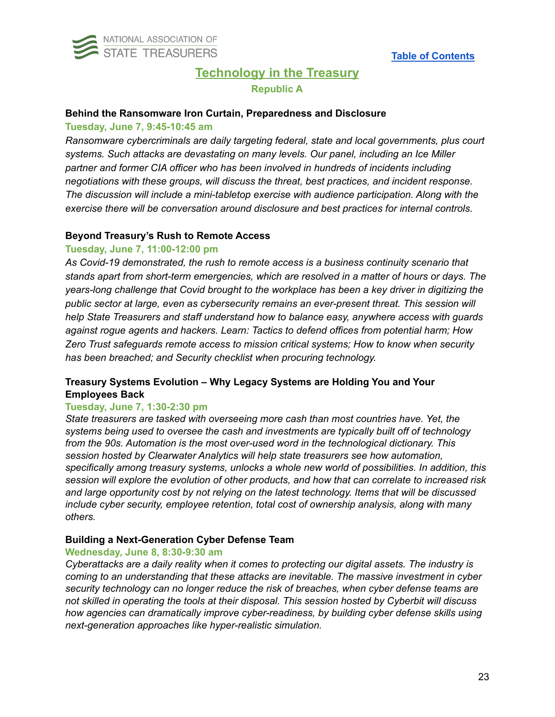<span id="page-22-0"></span>

# **Technology in the Treasury Republic A**

#### **Behind the Ransomware Iron Curtain, Preparedness and Disclosure**

#### **Tuesday, June 7, 9:45-10:45 am**

*Ransomware cybercriminals are daily targeting federal, state and local governments, plus court systems. Such attacks are devastating on many levels. Our panel, including an Ice Miller partner and former CIA officer who has been involved in hundreds of incidents including negotiations with these groups, will discuss the threat, best practices, and incident response. The discussion will include a mini-tabletop exercise with audience participation. Along with the exercise there will be conversation around disclosure and best practices for internal controls.*

#### **Beyond Treasury's Rush to Remote Access**

## **Tuesday, June 7, 11:00-12:00 pm**

*As Covid-19 demonstrated, the rush to remote access is a business continuity scenario that stands apart from short-term emergencies, which are resolved in a matter of hours or days. The years-long challenge that Covid brought to the workplace has been a key driver in digitizing the public sector at large, even as cybersecurity remains an ever-present threat. This session will help State Treasurers and staff understand how to balance easy, anywhere access with guards against rogue agents and hackers. Learn: Tactics to defend offices from potential harm; How Zero Trust safeguards remote access to mission critical systems; How to know when security has been breached; and Security checklist when procuring technology.*

## **Treasury Systems Evolution – Why Legacy Systems are Holding You and Your Employees Back**

#### **Tuesday, June 7, 1:30-2:30 pm**

*State treasurers are tasked with overseeing more cash than most countries have. Yet, the systems being used to oversee the cash and investments are typically built off of technology from the 90s. Automation is the most over-used word in the technological dictionary. This session hosted by Clearwater Analytics will help state treasurers see how automation, specifically among treasury systems, unlocks a whole new world of possibilities. In addition, this session will explore the evolution of other products, and how that can correlate to increased risk and large opportunity cost by not relying on the latest technology. Items that will be discussed include cyber security, employee retention, total cost of ownership analysis, along with many others.*

#### **Building a Next-Generation Cyber Defense Team**

#### **Wednesday, June 8, 8:30-9:30 am**

*Cyberattacks are a daily reality when it comes to protecting our digital assets. The industry is coming to an understanding that these attacks are inevitable. The massive investment in cyber security technology can no longer reduce the risk of breaches, when cyber defense teams are not skilled in operating the tools at their disposal. This session hosted by Cyberbit will discuss how agencies can dramatically improve cyber-readiness, by building cyber defense skills using next-generation approaches like hyper-realistic simulation.*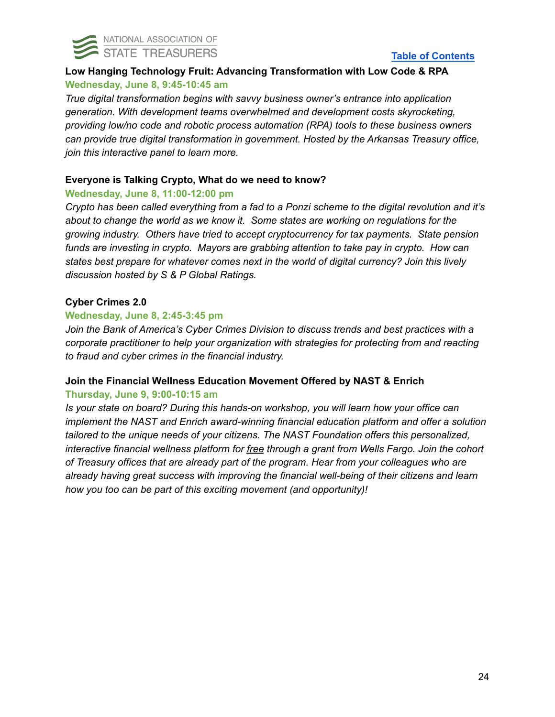

## **Low Hanging Technology Fruit: Advancing Transformation with Low Code & RPA Wednesday, June 8, 9:45-10:45 am**

*True digital transformation begins with savvy business owner's entrance into application generation. With development teams overwhelmed and development costs skyrocketing, providing low/no code and robotic process automation (RPA) tools to these business owners can provide true digital transformation in government. Hosted by the Arkansas Treasury office, join this interactive panel to learn more.*

## **Everyone is Talking Crypto, What do we need to know?**

## **Wednesday, June 8, 11:00-12:00 pm**

*Crypto has been called everything from a fad to a Ponzi scheme to the digital revolution and it's about to change the world as we know it. Some states are working on regulations for the growing industry. Others have tried to accept cryptocurrency for tax payments. State pension funds are investing in crypto. Mayors are grabbing attention to take pay in crypto. How can states best prepare for whatever comes next in the world of digital currency? Join this lively discussion hosted by S & P Global Ratings.*

## **Cyber Crimes 2.0**

## **Wednesday, June 8, 2:45-3:45 pm**

*Join the Bank of America's Cyber Crimes Division to discuss trends and best practices with a corporate practitioner to help your organization with strategies for protecting from and reacting to fraud and cyber crimes in the financial industry.*

## **Join the Financial Wellness Education Movement Offered by NAST & Enrich**

## **Thursday, June 9, 9:00-10:15 am**

*Is your state on board? During this hands-on workshop, you will learn how your office can implement the NAST and Enrich award-winning financial education platform and offer a solution tailored to the unique needs of your citizens. The NAST Foundation offers this personalized, interactive financial wellness platform for free through a grant from Wells Fargo. Join the cohort of Treasury offices that are already part of the program. Hear from your colleagues who are already having great success with improving the financial well-being of their citizens and learn how you too can be part of this exciting movement (and opportunity)!*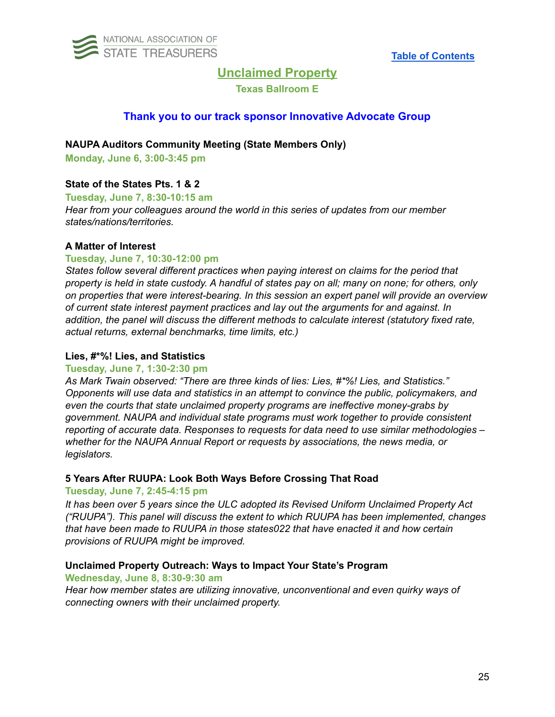<span id="page-24-0"></span>

## **Unclaimed Property**

### **Texas Ballroom E**

## **Thank you to our track sponsor Innovative Advocate Group**

**NAUPA Auditors Community Meeting (State Members Only)**

**Monday, June 6, 3:00-3:45 pm**

## **State of the States Pts. 1 & 2**

**Tuesday, June 7, 8:30-10:15 am** *Hear from your colleagues around the world in this series of updates from our member states/nations/territories.*

### **A Matter of Interest**

### **Tuesday, June 7, 10:30-12:00 pm**

*States follow several different practices when paying interest on claims for the period that* property is held in state custody. A handful of states pay on all; many on none; for others, only *on properties that were interest-bearing. In this session an expert panel will provide an overview of current state interest payment practices and lay out the arguments for and against. In addition, the panel will discuss the different methods to calculate interest (statutory fixed rate, actual returns, external benchmarks, time limits, etc.)*

#### **Lies, #\*%! Lies, and Statistics**

#### **Tuesday, June 7, 1:30-2:30 pm**

*As Mark Twain observed: "There are three kinds of lies: Lies, #\*%! Lies, and Statistics." Opponents will use data and statistics in an attempt to convince the public, policymakers, and even the courts that state unclaimed property programs are ineffective money-grabs by government. NAUPA and individual state programs must work together to provide consistent reporting of accurate data. Responses to requests for data need to use similar methodologies – whether for the NAUPA Annual Report or requests by associations, the news media, or legislators.*

#### **5 Years After RUUPA: Look Both Ways Before Crossing That Road**

#### **Tuesday, June 7, 2:45-4:15 pm**

*It has been over 5 years since the ULC adopted its Revised Uniform Unclaimed Property Act ("RUUPA"). This panel will discuss the extent to which RUUPA has been implemented, changes that have been made to RUUPA in those states022 that have enacted it and how certain provisions of RUUPA might be improved.*

## **Unclaimed Property Outreach: Ways to Impact Your State's Program**

#### **Wednesday, June 8, 8:30-9:30 am**

*Hear how member states are utilizing innovative, unconventional and even quirky ways of connecting owners with their unclaimed property.*